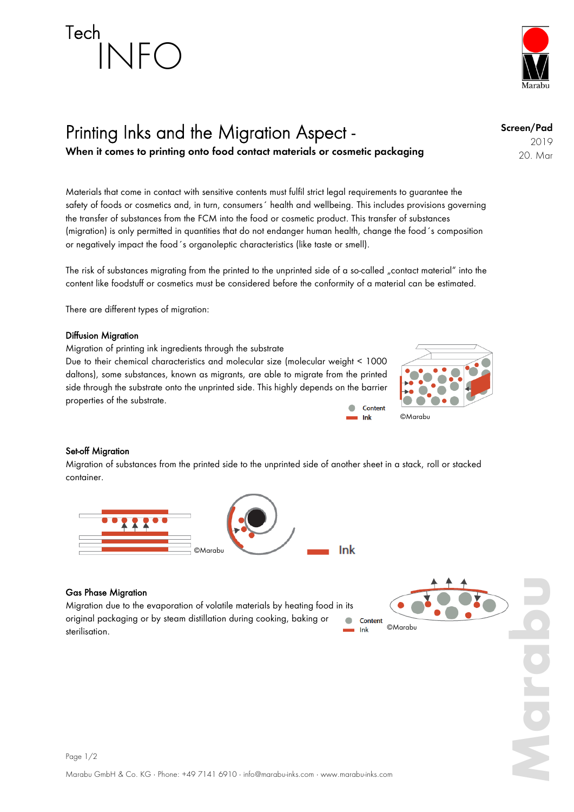# Tech INFO



### Printing Inks and the Migration Aspect -

**When it comes to printing onto food contact materials or cosmetic packaging**

Materials that come in contact with sensitive contents must fulfil strict legal requirements to guarantee the Materials that come in contact with sensitive contents must tultil strict legal requirements to guarantee the<br>safety of foods or cosmetics and, in turn, consumers´ health and wellbeing. This includes provisions governing the transfer of substances from the FCM into the food or cosmetic product. This transfer of substances (migration) is only permitted in quantities that do not endanger human health, change the food´s composition or negatively impact the food´s organoleptic characteristics (like taste or smell).

The risk of substances migrating from the printed to the unprinted side of a so-called "contact material" into the content like foodstuff or cosmetics must be considered before the conformity of a material can be estimated.

There are different types of migration:

#### Diffusion Migration

Migration of printing ink ingredients through the substrate Due to their chemical characteristics and molecular size (molecular weight < 1000 daltons), some substances, known as migrants, are able to migrate from the printed side through the substrate onto the unprinted side. This highly depends on the barrier properties of the substrate.  $\bullet$ Content



Ink

Ink

#### Set-off Migration

Migration of substances from the printed side to the unprinted side of another sheet in a stack, roll or stacked container.



#### Gas Phase Migration

Migration due to the evaporation of volatile materials by heating food in its original packaging or by steam distillation during cooking, baking or  $\blacksquare$ sterilisation.



**Marabu**